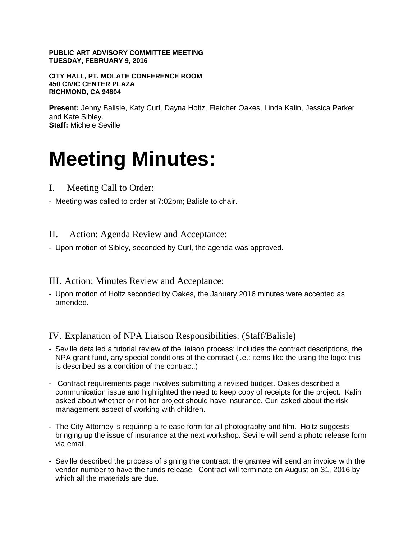### **PUBLIC ART ADVISORY COMMITTEE MEETING TUESDAY, FEBRUARY 9, 2016**

**CITY HALL, PT. MOLATE CONFERENCE ROOM 450 CIVIC CENTER PLAZA RICHMOND, CA 94804**

**Present:** Jenny Balisle, Katy Curl, Dayna Holtz, Fletcher Oakes, Linda Kalin, Jessica Parker and Kate Sibley. **Staff:** Michele Seville

# **Meeting Minutes:**

- I. Meeting Call to Order:
- Meeting was called to order at 7:02pm; Balisle to chair.

II. Action: Agenda Review and Acceptance:

- Upon motion of Sibley, seconded by Curl, the agenda was approved.

III. Action: Minutes Review and Acceptance:

- Upon motion of Holtz seconded by Oakes, the January 2016 minutes were accepted as amended.

IV. Explanation of NPA Liaison Responsibilities: (Staff/Balisle)

- Seville detailed a tutorial review of the liaison process: includes the contract descriptions, the NPA grant fund, any special conditions of the contract (i.e.: items like the using the logo: this is described as a condition of the contract.)
- Contract requirements page involves submitting a revised budget. Oakes described a communication issue and highlighted the need to keep copy of receipts for the project. Kalin asked about whether or not her project should have insurance. Curl asked about the risk management aspect of working with children.
- The City Attorney is requiring a release form for all photography and film. Holtz suggests bringing up the issue of insurance at the next workshop. Seville will send a photo release form via email.
- Seville described the process of signing the contract: the grantee will send an invoice with the vendor number to have the funds release. Contract will terminate on August on 31, 2016 by which all the materials are due.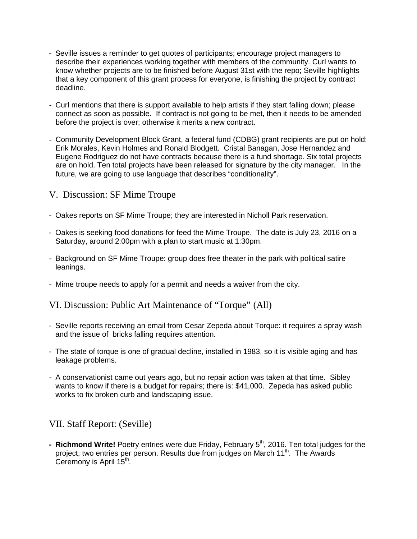- Seville issues a reminder to get quotes of participants; encourage project managers to describe their experiences working together with members of the community. Curl wants to know whether projects are to be finished before August 31st with the repo; Seville highlights that a key component of this grant process for everyone, is finishing the project by contract deadline.
- Curl mentions that there is support available to help artists if they start falling down; please connect as soon as possible. If contract is not going to be met, then it needs to be amended before the project is over; otherwise it merits a new contract.
- Community Development Block Grant, a federal fund (CDBG) grant recipients are put on hold: Erik Morales, Kevin Holmes and Ronald Blodgett. Cristal Banagan, Jose Hernandez and Eugene Rodriguez do not have contracts because there is a fund shortage. Six total projects are on hold. Ten total projects have been released for signature by the city manager. In the future, we are going to use language that describes "conditionality".

## V. Discussion: SF Mime Troupe

- Oakes reports on SF Mime Troupe; they are interested in Nicholl Park reservation.
- Oakes is seeking food donations for feed the Mime Troupe. The date is July 23, 2016 on a Saturday, around 2:00pm with a plan to start music at 1:30pm.
- Background on SF Mime Troupe: group does free theater in the park with political satire leanings.
- Mime troupe needs to apply for a permit and needs a waiver from the city.

VI. Discussion: Public Art Maintenance of "Torque" (All)

- Seville reports receiving an email from Cesar Zepeda about Torque: it requires a spray wash and the issue of bricks falling requires attention.
- The state of torque is one of gradual decline, installed in 1983, so it is visible aging and has leakage problems.
- A conservationist came out years ago, but no repair action was taken at that time. Sibley wants to know if there is a budget for repairs; there is: \$41,000. Zepeda has asked public works to fix broken curb and landscaping issue.

## VII. Staff Report: (Seville)

**- Richmond Write!** Poetry entries were due Friday, February 5<sup>th</sup>, 2016. Ten total judges for the project; two entries per person. Results due from judges on March 11<sup>th</sup>. The Awards Ceremony is April  $15<sup>th</sup>$ .